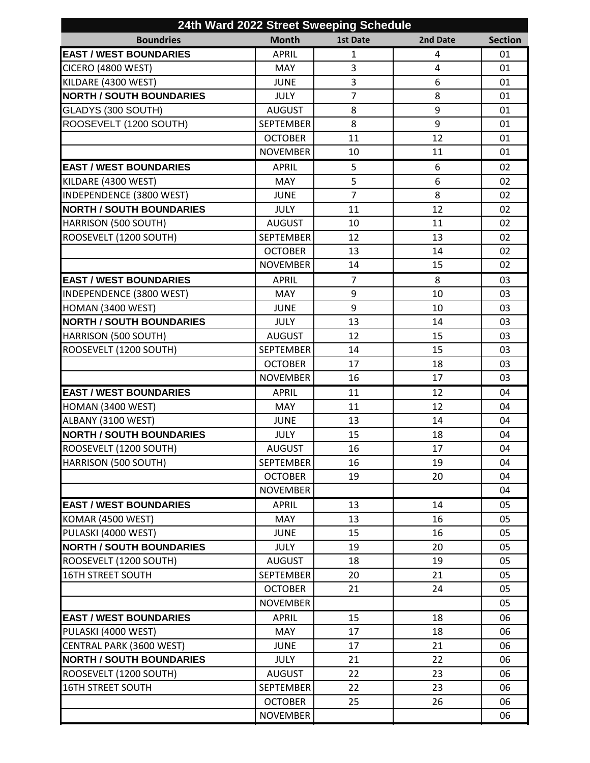| 24th Ward 2022 Street Sweeping Schedule |                  |                 |                |                |  |  |  |
|-----------------------------------------|------------------|-----------------|----------------|----------------|--|--|--|
| <b>Boundries</b>                        | <b>Month</b>     | <b>1st Date</b> | 2nd Date       | <b>Section</b> |  |  |  |
| <b>EAST / WEST BOUNDARIES</b>           | <b>APRIL</b>     | $\mathbf{1}$    | 4              | 01             |  |  |  |
| CICERO (4800 WEST)                      | <b>MAY</b>       | 3               | $\overline{4}$ | 01             |  |  |  |
| KILDARE (4300 WEST)                     | <b>JUNE</b>      | 3               | 6              | 01             |  |  |  |
| <b>NORTH / SOUTH BOUNDARIES</b>         | <b>JULY</b>      | $\overline{7}$  | 8              | 01             |  |  |  |
| GLADYS (300 SOUTH)                      | <b>AUGUST</b>    | 8               | 9              | 01             |  |  |  |
| ROOSEVELT (1200 SOUTH)                  | <b>SEPTEMBER</b> | 8               | 9              | 01             |  |  |  |
|                                         | <b>OCTOBER</b>   | 11              | 12             | 01             |  |  |  |
|                                         | <b>NOVEMBER</b>  | 10              | 11             | 01             |  |  |  |
| <b>EAST / WEST BOUNDARIES</b>           | <b>APRIL</b>     | 5               | 6              | 02             |  |  |  |
| KILDARE (4300 WEST)                     | <b>MAY</b>       | 5               | 6              | 02             |  |  |  |
| <b>INDEPENDENCE (3800 WEST)</b>         | <b>JUNE</b>      | $\overline{7}$  | 8              | 02             |  |  |  |
| <b>NORTH / SOUTH BOUNDARIES</b>         | <b>JULY</b>      | 11              | 12             | 02             |  |  |  |
| HARRISON (500 SOUTH)                    | <b>AUGUST</b>    | 10              | 11             | 02             |  |  |  |
| ROOSEVELT (1200 SOUTH)                  | <b>SEPTEMBER</b> | 12              | 13             | 02             |  |  |  |
|                                         | <b>OCTOBER</b>   | 13              | 14             | 02             |  |  |  |
|                                         | <b>NOVEMBER</b>  | 14              | 15             | 02             |  |  |  |
| <b>EAST / WEST BOUNDARIES</b>           | <b>APRIL</b>     | $\overline{7}$  | 8              | 03             |  |  |  |
| <b>INDEPENDENCE (3800 WEST)</b>         | <b>MAY</b>       | 9               | 10             | 03             |  |  |  |
| HOMAN (3400 WEST)                       | <b>JUNE</b>      | 9               | 10             | 03             |  |  |  |
| <b>NORTH / SOUTH BOUNDARIES</b>         | <b>JULY</b>      | 13              | 14             | 03             |  |  |  |
| HARRISON (500 SOUTH)                    | <b>AUGUST</b>    | 12              | 15             | 03             |  |  |  |
| ROOSEVELT (1200 SOUTH)                  | <b>SEPTEMBER</b> | 14              | 15             | 03             |  |  |  |
|                                         | <b>OCTOBER</b>   | 17              | 18             | 03             |  |  |  |
|                                         | <b>NOVEMBER</b>  | 16              | 17             | 03             |  |  |  |
| <b>EAST / WEST BOUNDARIES</b>           | <b>APRIL</b>     | 11              | 12             | 04             |  |  |  |
| HOMAN (3400 WEST)                       | MAY              | 11              | 12             | 04             |  |  |  |
| ALBANY (3100 WEST)                      | <b>JUNE</b>      | 13              | 14             | 04             |  |  |  |
| <b>NORTH / SOUTH BOUNDARIES</b>         | <b>JULY</b>      | 15              | 18             | 04             |  |  |  |
| ROOSEVELT (1200 SOUTH)                  | <b>AUGUST</b>    | 16              | 17             | 04             |  |  |  |
| HARRISON (500 SOUTH)                    | <b>SEPTEMBER</b> | 16              | 19             | 04             |  |  |  |
|                                         | <b>OCTOBER</b>   | 19              | 20             | 04             |  |  |  |
|                                         | <b>NOVEMBER</b>  |                 |                | 04             |  |  |  |
| <b>EAST / WEST BOUNDARIES</b>           | <b>APRIL</b>     | 13              | 14             | 05             |  |  |  |
| <b>KOMAR (4500 WEST)</b>                | <b>MAY</b>       | 13              | 16             | 05             |  |  |  |
| PULASKI (4000 WEST)                     | <b>JUNE</b>      | 15              | 16             | 05             |  |  |  |
| <b>NORTH / SOUTH BOUNDARIES</b>         | <b>JULY</b>      | 19              | 20             | 05             |  |  |  |
| ROOSEVELT (1200 SOUTH)                  | <b>AUGUST</b>    | 18              | 19             | 05             |  |  |  |
| <b>16TH STREET SOUTH</b>                | <b>SEPTEMBER</b> | 20              | 21             | 05             |  |  |  |
|                                         | <b>OCTOBER</b>   | 21              | 24             | 05             |  |  |  |
|                                         | <b>NOVEMBER</b>  |                 |                | 05             |  |  |  |
| <b>EAST / WEST BOUNDARIES</b>           | <b>APRIL</b>     | 15              | 18             | 06             |  |  |  |
| PULASKI (4000 WEST)                     | <b>MAY</b>       | 17              | 18             | 06             |  |  |  |
| CENTRAL PARK (3600 WEST)                | <b>JUNE</b>      | 17              | 21             | 06             |  |  |  |
| <b>NORTH / SOUTH BOUNDARIES</b>         | <b>JULY</b>      | 21              | 22             | 06             |  |  |  |
| ROOSEVELT (1200 SOUTH)                  | <b>AUGUST</b>    | 22              | 23             | 06             |  |  |  |
| <b>16TH STREET SOUTH</b>                | <b>SEPTEMBER</b> | 22              | 23             | 06             |  |  |  |
|                                         | <b>OCTOBER</b>   | 25              | 26             | 06             |  |  |  |
|                                         | <b>NOVEMBER</b>  |                 |                | 06             |  |  |  |